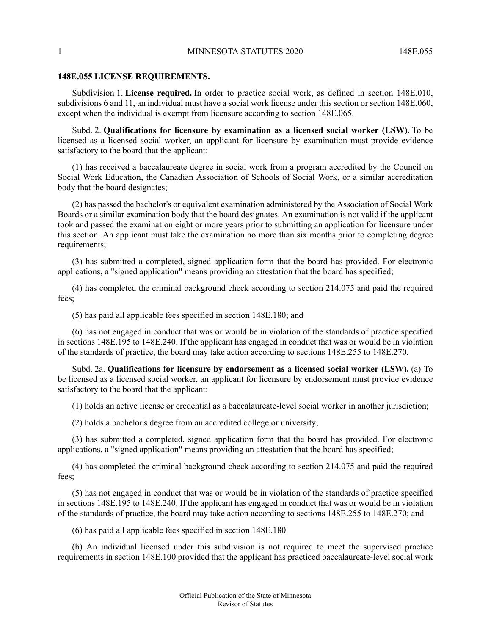## **148E.055 LICENSE REQUIREMENTS.**

Subdivision 1. **License required.** In order to practice social work, as defined in section 148E.010, subdivisions 6 and 11, an individual must have a social work license under this section or section 148E.060, except when the individual is exempt from licensure according to section 148E.065.

Subd. 2. **Qualifications for licensure by examination as a licensed social worker (LSW).** To be licensed as a licensed social worker, an applicant for licensure by examination must provide evidence satisfactory to the board that the applicant:

(1) has received a baccalaureate degree in social work from a program accredited by the Council on Social Work Education, the Canadian Association of Schools of Social Work, or a similar accreditation body that the board designates;

(2) has passed the bachelor's or equivalent examination administered by the Association of Social Work Boards or a similar examination body that the board designates. An examination is not valid if the applicant took and passed the examination eight or more years prior to submitting an application for licensure under this section. An applicant must take the examination no more than six months prior to completing degree requirements;

(3) has submitted a completed, signed application form that the board has provided. For electronic applications, a "signed application" means providing an attestation that the board has specified;

(4) has completed the criminal background check according to section 214.075 and paid the required fees;

(5) has paid all applicable fees specified in section 148E.180; and

(6) has not engaged in conduct that was or would be in violation of the standards of practice specified in sections 148E.195 to 148E.240. If the applicant has engaged in conduct that was or would be in violation of the standards of practice, the board may take action according to sections 148E.255 to 148E.270.

Subd. 2a. **Qualifications for licensure by endorsement as a licensed social worker (LSW).** (a) To be licensed as a licensed social worker, an applicant for licensure by endorsement must provide evidence satisfactory to the board that the applicant:

(1) holds an active license or credential as a baccalaureate-level social worker in another jurisdiction;

(2) holds a bachelor's degree from an accredited college or university;

(3) has submitted a completed, signed application form that the board has provided. For electronic applications, a "signed application" means providing an attestation that the board has specified;

(4) has completed the criminal background check according to section 214.075 and paid the required fees;

(5) has not engaged in conduct that was or would be in violation of the standards of practice specified in sections 148E.195 to 148E.240. If the applicant has engaged in conduct that was or would be in violation of the standards of practice, the board may take action according to sections 148E.255 to 148E.270; and

(6) has paid all applicable fees specified in section 148E.180.

(b) An individual licensed under this subdivision is not required to meet the supervised practice requirements in section 148E.100 provided that the applicant has practiced baccalaureate-level social work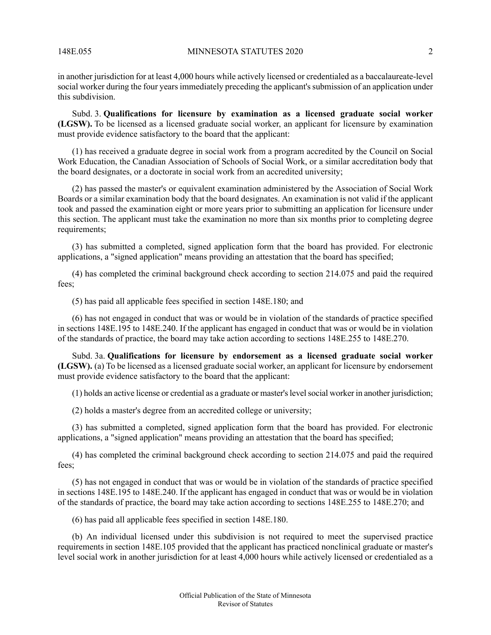in another jurisdiction for at least 4,000 hours while actively licensed or credentialed as a baccalaureate-level social worker during the four years immediately preceding the applicant's submission of an application under this subdivision.

Subd. 3. **Qualifications for licensure by examination as a licensed graduate social worker (LGSW).** To be licensed as a licensed graduate social worker, an applicant for licensure by examination must provide evidence satisfactory to the board that the applicant:

(1) has received a graduate degree in social work from a program accredited by the Council on Social Work Education, the Canadian Association of Schools of Social Work, or a similar accreditation body that the board designates, or a doctorate in social work from an accredited university;

(2) has passed the master's or equivalent examination administered by the Association of Social Work Boards or a similar examination body that the board designates. An examination is not valid if the applicant took and passed the examination eight or more years prior to submitting an application for licensure under this section. The applicant must take the examination no more than six months prior to completing degree requirements;

(3) has submitted a completed, signed application form that the board has provided. For electronic applications, a "signed application" means providing an attestation that the board has specified;

(4) has completed the criminal background check according to section 214.075 and paid the required fees;

(5) has paid all applicable fees specified in section 148E.180; and

(6) has not engaged in conduct that was or would be in violation of the standards of practice specified in sections 148E.195 to 148E.240. If the applicant has engaged in conduct that was or would be in violation of the standards of practice, the board may take action according to sections 148E.255 to 148E.270.

Subd. 3a. **Qualifications for licensure by endorsement as a licensed graduate social worker (LGSW).** (a) To be licensed as a licensed graduate social worker, an applicant for licensure by endorsement must provide evidence satisfactory to the board that the applicant:

(1) holds an active license or credential as a graduate or master'slevelsocial worker in another jurisdiction;

(2) holds a master's degree from an accredited college or university;

(3) has submitted a completed, signed application form that the board has provided. For electronic applications, a "signed application" means providing an attestation that the board has specified;

(4) has completed the criminal background check according to section 214.075 and paid the required fees;

(5) has not engaged in conduct that was or would be in violation of the standards of practice specified in sections 148E.195 to 148E.240. If the applicant has engaged in conduct that was or would be in violation of the standards of practice, the board may take action according to sections 148E.255 to 148E.270; and

(6) has paid all applicable fees specified in section 148E.180.

(b) An individual licensed under this subdivision is not required to meet the supervised practice requirements in section 148E.105 provided that the applicant has practiced nonclinical graduate or master's level social work in another jurisdiction for at least 4,000 hours while actively licensed or credentialed as a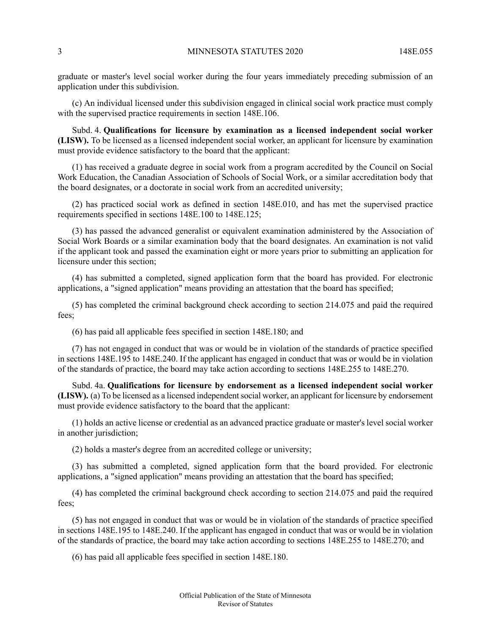graduate or master's level social worker during the four years immediately preceding submission of an application under this subdivision.

(c) An individual licensed under this subdivision engaged in clinical social work practice must comply with the supervised practice requirements in section 148E.106.

Subd. 4. **Qualifications for licensure by examination as a licensed independent social worker (LISW).** To be licensed as a licensed independent social worker, an applicant for licensure by examination must provide evidence satisfactory to the board that the applicant:

(1) has received a graduate degree in social work from a program accredited by the Council on Social Work Education, the Canadian Association of Schools of Social Work, or a similar accreditation body that the board designates, or a doctorate in social work from an accredited university;

(2) has practiced social work as defined in section 148E.010, and has met the supervised practice requirements specified in sections 148E.100 to 148E.125;

(3) has passed the advanced generalist or equivalent examination administered by the Association of Social Work Boards or a similar examination body that the board designates. An examination is not valid if the applicant took and passed the examination eight or more years prior to submitting an application for licensure under this section;

(4) has submitted a completed, signed application form that the board has provided. For electronic applications, a "signed application" means providing an attestation that the board has specified;

(5) has completed the criminal background check according to section 214.075 and paid the required fees;

(6) has paid all applicable fees specified in section 148E.180; and

(7) has not engaged in conduct that was or would be in violation of the standards of practice specified in sections 148E.195 to 148E.240. If the applicant has engaged in conduct that was or would be in violation of the standards of practice, the board may take action according to sections 148E.255 to 148E.270.

Subd. 4a. **Qualifications for licensure by endorsement as a licensed independent social worker (LISW).** (a) To be licensed as a licensed independent social worker, an applicant for licensure by endorsement must provide evidence satisfactory to the board that the applicant:

(1) holds an active license or credential as an advanced practice graduate or master's level social worker in another jurisdiction;

(2) holds a master's degree from an accredited college or university;

(3) has submitted a completed, signed application form that the board provided. For electronic applications, a "signed application" means providing an attestation that the board has specified;

(4) has completed the criminal background check according to section 214.075 and paid the required fees;

(5) has not engaged in conduct that was or would be in violation of the standards of practice specified in sections 148E.195 to 148E.240. If the applicant has engaged in conduct that was or would be in violation of the standards of practice, the board may take action according to sections 148E.255 to 148E.270; and

(6) has paid all applicable fees specified in section 148E.180.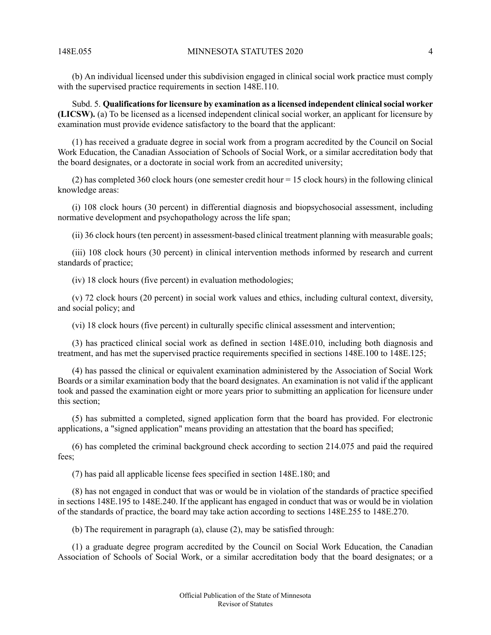(b) An individual licensed under this subdivision engaged in clinical social work practice must comply with the supervised practice requirements in section 148E.110.

Subd. 5. **Qualificationsfor licensure by examination as a licensed independent clinicalsocial worker (LICSW).** (a) To be licensed as a licensed independent clinical social worker, an applicant for licensure by examination must provide evidence satisfactory to the board that the applicant:

(1) has received a graduate degree in social work from a program accredited by the Council on Social Work Education, the Canadian Association of Schools of Social Work, or a similar accreditation body that the board designates, or a doctorate in social work from an accredited university;

(2) has completed 360 clock hours (one semester credit hour  $= 15$  clock hours) in the following clinical knowledge areas:

(i) 108 clock hours (30 percent) in differential diagnosis and biopsychosocial assessment, including normative development and psychopathology across the life span;

(ii) 36 clock hours (ten percent) in assessment-based clinical treatment planning with measurable goals;

(iii) 108 clock hours (30 percent) in clinical intervention methods informed by research and current standards of practice;

(iv) 18 clock hours (five percent) in evaluation methodologies;

(v) 72 clock hours (20 percent) in social work values and ethics, including cultural context, diversity, and social policy; and

(vi) 18 clock hours (five percent) in culturally specific clinical assessment and intervention;

(3) has practiced clinical social work as defined in section 148E.010, including both diagnosis and treatment, and has met the supervised practice requirements specified in sections 148E.100 to 148E.125;

(4) has passed the clinical or equivalent examination administered by the Association of Social Work Boards or a similar examination body that the board designates. An examination is not valid if the applicant took and passed the examination eight or more years prior to submitting an application for licensure under this section;

(5) has submitted a completed, signed application form that the board has provided. For electronic applications, a "signed application" means providing an attestation that the board has specified;

(6) has completed the criminal background check according to section 214.075 and paid the required fees;

(7) has paid all applicable license fees specified in section 148E.180; and

(8) has not engaged in conduct that was or would be in violation of the standards of practice specified in sections 148E.195 to 148E.240. If the applicant has engaged in conduct that was or would be in violation of the standards of practice, the board may take action according to sections 148E.255 to 148E.270.

(b) The requirement in paragraph (a), clause (2), may be satisfied through:

(1) a graduate degree program accredited by the Council on Social Work Education, the Canadian Association of Schools of Social Work, or a similar accreditation body that the board designates; or a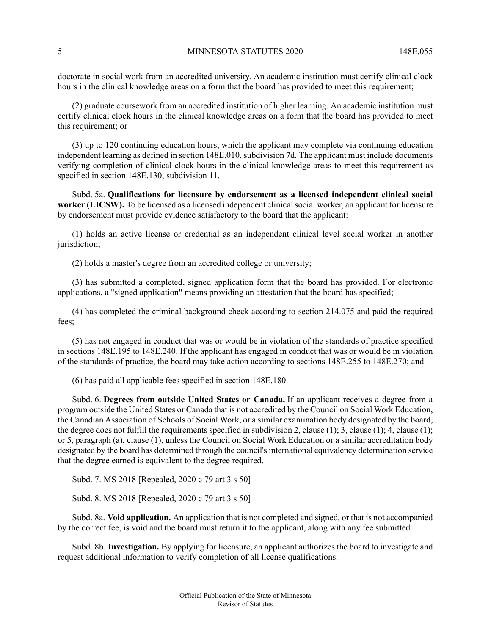doctorate in social work from an accredited university. An academic institution must certify clinical clock hours in the clinical knowledge areas on a form that the board has provided to meet this requirement;

(2) graduate coursework from an accredited institution of higher learning. An academic institution must certify clinical clock hours in the clinical knowledge areas on a form that the board has provided to meet this requirement; or

(3) up to 120 continuing education hours, which the applicant may complete via continuing education independent learning as defined in section 148E.010, subdivision 7d. The applicant must include documents verifying completion of clinical clock hours in the clinical knowledge areas to meet this requirement as specified in section 148E.130, subdivision 11.

Subd. 5a. **Qualifications for licensure by endorsement as a licensed independent clinical social worker (LICSW).** To be licensed as a licensed independent clinicalsocial worker, an applicant for licensure by endorsement must provide evidence satisfactory to the board that the applicant:

(1) holds an active license or credential as an independent clinical level social worker in another jurisdiction;

(2) holds a master's degree from an accredited college or university;

(3) has submitted a completed, signed application form that the board has provided. For electronic applications, a "signed application" means providing an attestation that the board has specified;

(4) has completed the criminal background check according to section 214.075 and paid the required fees;

(5) has not engaged in conduct that was or would be in violation of the standards of practice specified in sections 148E.195 to 148E.240. If the applicant has engaged in conduct that was or would be in violation of the standards of practice, the board may take action according to sections 148E.255 to 148E.270; and

(6) has paid all applicable fees specified in section 148E.180.

Subd. 6. **Degrees from outside United States or Canada.** If an applicant receives a degree from a program outside the United States or Canada that is not accredited by the Council on Social Work Education, the Canadian Association of Schools of Social Work, or a similar examination body designated by the board, the degree does not fulfill the requirements specified in subdivision 2, clause  $(1)$ ; 3, clause  $(1)$ ; 4, clause  $(1)$ ; or 5, paragraph (a), clause (1), unless the Council on Social Work Education or a similar accreditation body designated by the board has determined through the council's international equivalency determination service that the degree earned is equivalent to the degree required.

Subd. 7. MS 2018 [Repealed, 2020 c 79 art 3 s 50]

Subd. 8. MS 2018 [Repealed, 2020 c 79 art 3 s 50]

Subd. 8a. **Void application.** An application that is not completed and signed, or that is not accompanied by the correct fee, is void and the board must return it to the applicant, along with any fee submitted.

Subd. 8b. **Investigation.** By applying for licensure, an applicant authorizes the board to investigate and request additional information to verify completion of all license qualifications.